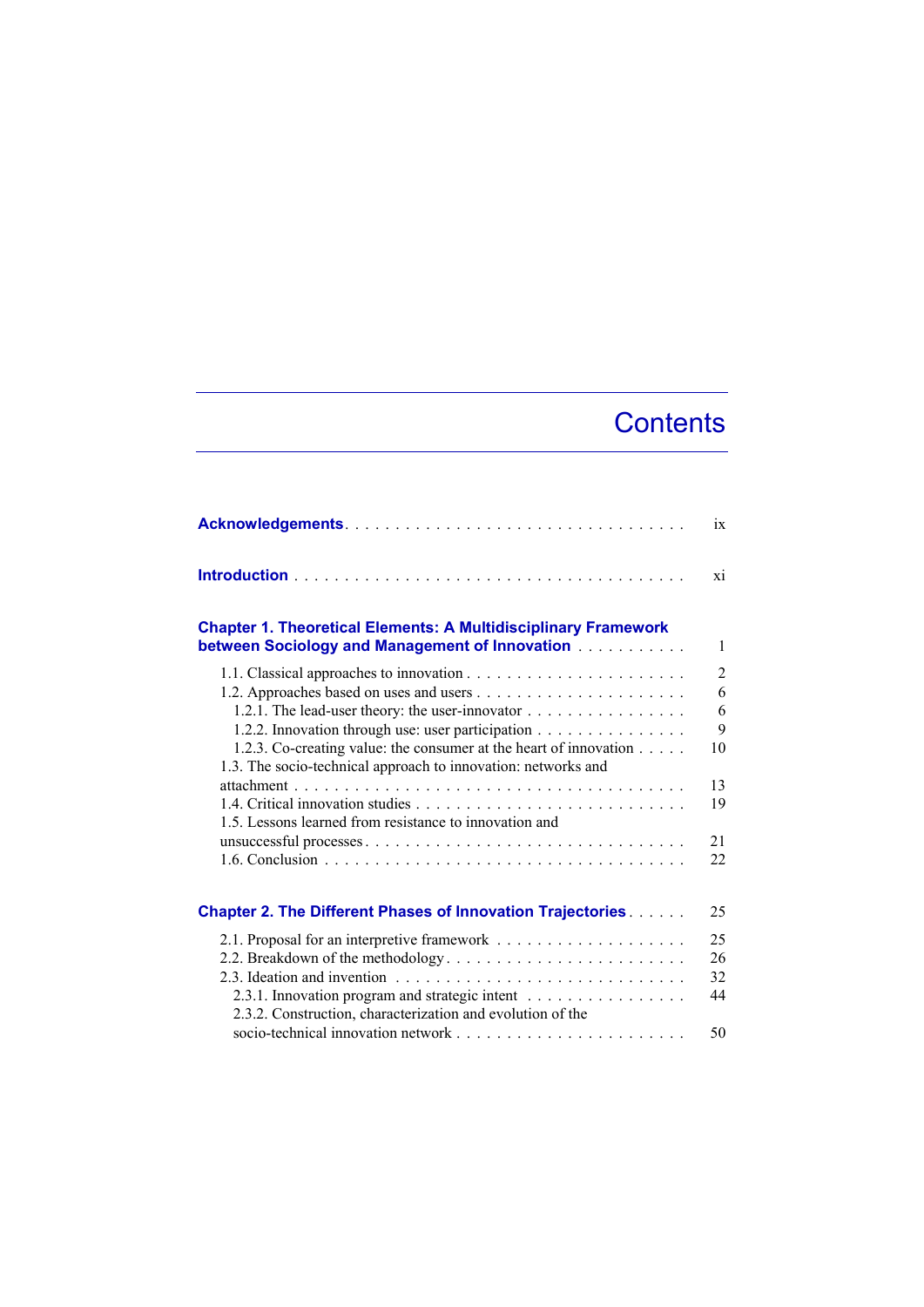## **Contents**

|                                                                                                                         | ix             |
|-------------------------------------------------------------------------------------------------------------------------|----------------|
|                                                                                                                         | xi             |
| <b>Chapter 1. Theoretical Elements: A Multidisciplinary Framework</b><br>between Sociology and Management of Innovation | 1              |
|                                                                                                                         | $\overline{2}$ |
|                                                                                                                         | 6              |
| 1.2.1. The lead-user theory: the user-innovator $\dots \dots \dots \dots \dots$                                         | 6              |
| 1.2.2. Innovation through use: user participation                                                                       | 9              |
| 1.2.3. Co-creating value: the consumer at the heart of innovation                                                       | 10             |
| 1.3. The socio-technical approach to innovation: networks and                                                           |                |
|                                                                                                                         | 13             |
| 1.5. Lessons learned from resistance to innovation and                                                                  | 19             |
|                                                                                                                         | 21             |
|                                                                                                                         | 22             |
|                                                                                                                         |                |
| <b>Chapter 2. The Different Phases of Innovation Trajectories</b>                                                       | 25             |
|                                                                                                                         | 25             |
| 2.2. Breakdown of the methodology                                                                                       | 26             |
|                                                                                                                         | 32             |
| 2.3.1. Innovation program and strategic intent                                                                          | 44             |
| 2.3.2. Construction, characterization and evolution of the                                                              |                |
|                                                                                                                         | 50             |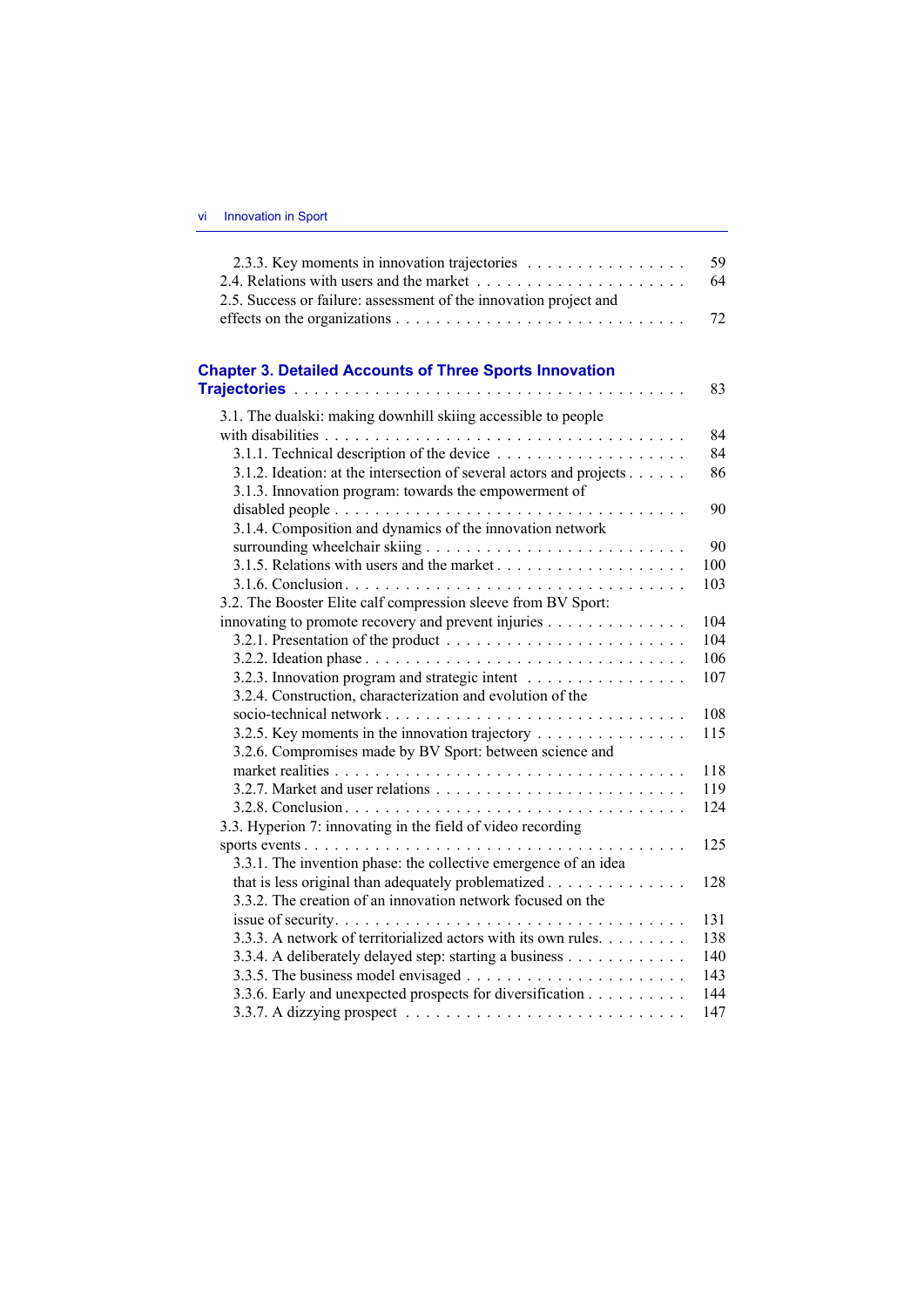| 2.3.3. Key moments in innovation trajectories                                        | 59  |
|--------------------------------------------------------------------------------------|-----|
|                                                                                      | 64  |
| 2.5. Success or failure: assessment of the innovation project and                    |     |
|                                                                                      | 72  |
|                                                                                      |     |
| <b>Chapter 3. Detailed Accounts of Three Sports Innovation</b>                       |     |
|                                                                                      | 83  |
| 3.1. The dualski: making downhill skiing accessible to people                        |     |
|                                                                                      | 84  |
|                                                                                      | 84  |
| 3.1.2. Ideation: at the intersection of several actors and projects                  | 86  |
| 3.1.3. Innovation program: towards the empowerment of                                |     |
|                                                                                      | 90  |
| 3.1.4. Composition and dynamics of the innovation network                            |     |
|                                                                                      | 90  |
|                                                                                      | 100 |
|                                                                                      | 103 |
| 3.2. The Booster Elite calf compression sleeve from BV Sport:                        |     |
| innovating to promote recovery and prevent injuries                                  | 104 |
|                                                                                      | 104 |
|                                                                                      | 106 |
| 3.2.3. Innovation program and strategic intent                                       | 107 |
| 3.2.4. Construction, characterization and evolution of the                           |     |
|                                                                                      | 108 |
| 3.2.5. Key moments in the innovation trajectory                                      | 115 |
| 3.2.6. Compromises made by BV Sport: between science and                             |     |
|                                                                                      | 118 |
|                                                                                      | 119 |
|                                                                                      | 124 |
| 3.3. Hyperion 7: innovating in the field of video recording                          |     |
|                                                                                      | 125 |
| 3.3.1. The invention phase: the collective emergence of an idea                      |     |
| that is less original than adequately problematized                                  | 128 |
| 3.3.2. The creation of an innovation network focused on the                          |     |
|                                                                                      | 131 |
| 3.3.3. A network of territorialized actors with its own rules.                       | 138 |
| 3.3.4. A deliberately delayed step: starting a business                              | 140 |
|                                                                                      | 143 |
| 3.3.6. Early and unexpected prospects for diversification                            | 144 |
| 3.3.7. A dizzying prospect $\ldots \ldots \ldots \ldots \ldots \ldots \ldots \ldots$ | 147 |